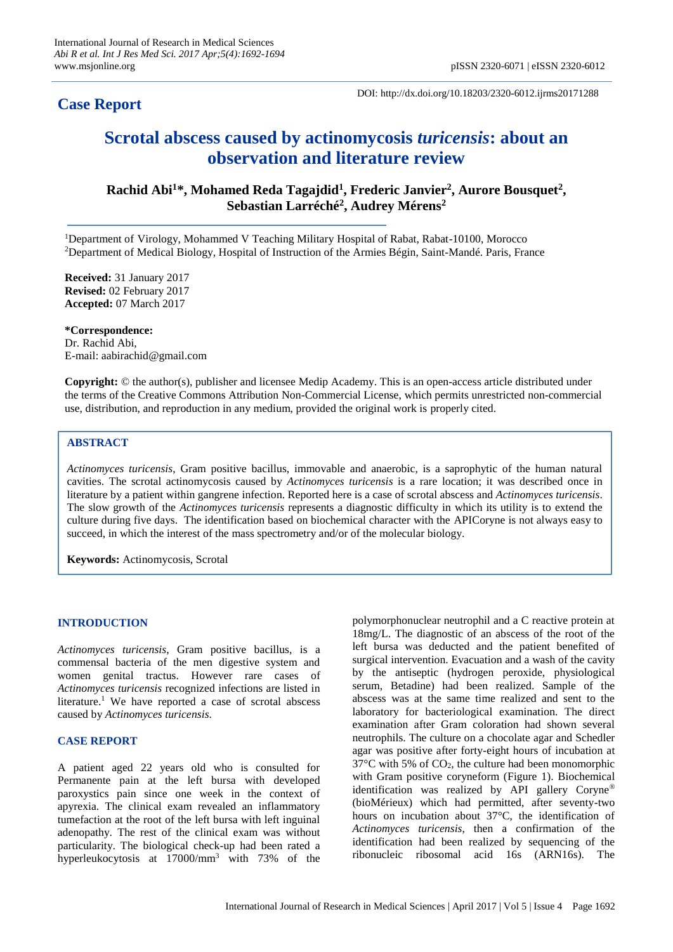# **Case Report**

DOI: http://dx.doi.org/10.18203/2320-6012.ijrms20171288

# **Scrotal abscess caused by actinomycosis** *turicensis***: about an observation and literature review**

**Rachid Abi<sup>1</sup>\*, Mohamed Reda Tagajdid<sup>1</sup> , Frederic Janvier<sup>2</sup> , Aurore Bousquet<sup>2</sup> , Sebastian Larréché<sup>2</sup> , Audrey Mérens<sup>2</sup>**

<sup>1</sup>Department of Virology, Mohammed V Teaching Military Hospital of Rabat, Rabat-10100, Morocco <sup>2</sup>Department of Medical Biology, Hospital of Instruction of the Armies Bégin, Saint-Mandé. Paris, France

**Received:** 31 January 2017 **Revised:** 02 February 2017 **Accepted:** 07 March 2017

**\*Correspondence:** Dr. Rachid Abi, E-mail: aabirachid@gmail.com

**Copyright:** © the author(s), publisher and licensee Medip Academy. This is an open-access article distributed under the terms of the Creative Commons Attribution Non-Commercial License, which permits unrestricted non-commercial use, distribution, and reproduction in any medium, provided the original work is properly cited.

## **ABSTRACT**

*Actinomyces turicensis*, Gram positive bacillus, immovable and anaerobic, is a saprophytic of the human natural cavities. The scrotal actinomycosis caused by *Actinomyces turicensis* is a rare location; it was described once in literature by a patient within gangrene infection. Reported here is a case of scrotal abscess and *Actinomyces turicensis*. The slow growth of the *Actinomyces turicensis* represents a diagnostic difficulty in which its utility is to extend the culture during five days. The identification based on biochemical character with the APICoryne is not always easy to succeed, in which the interest of the mass spectrometry and/or of the molecular biology.

**Keywords:** Actinomycosis, Scrotal

#### **INTRODUCTION**

*Actinomyces turicensis*, Gram positive [bacillus,](http://www.interglot.com/dictionary/en/fr/translate/bacillus?l=fr%7Cen) is a commensal bacteria of the men digestive system and women genital tractus. However rare cases of *Actinomyces turicensis* recognized infections are listed in literature.<sup>1</sup> We have reported a case of scrotal abscess caused by *Actinomyces turicensis*.

#### **CASE REPORT**

A patient aged 22 years old who is consulted for Permanente pain at the left bursa with developed paroxystics pain since one week in the context of apyrexia. The clinical exam revealed an inflammatory tumefaction at the root of the left bursa with left inguinal adenopathy. The rest of the clinical exam was without particularity. The biological check-up had been rated a hyperleukocytosis at 17000/mm<sup>3</sup> with 73% of the polymorphonuclear neutrophil and a C reactive protein at 18mg/L. The diagnostic of an abscess of the root of the left bursa was deducted and the patient benefited of surgical intervention. Evacuation and a wash of the cavity by the antiseptic (hydrogen peroxide, physiological serum, Betadine) had been realized. Sample of the abscess was at the same time realized and sent to the laboratory for bacteriological examination. The direct examination after Gram coloration had shown several neutrophils. The culture on a chocolate agar and Schedler agar was positive after forty-eight hours of incubation at  $37^{\circ}$ C with 5% of CO<sub>2</sub>, the culture had been monomorphic with Gram positive coryneform (Figure 1). Biochemical identification was realized by API gallery Coryne® (bioMérieux) which had permitted, after seventy-two hours on incubation about 37°C, the identification of *Actinomyces turicensis*, then a confirmation of the identification had been realized by sequencing of the ribonucleic ribosomal acid 16s (ARN16s). The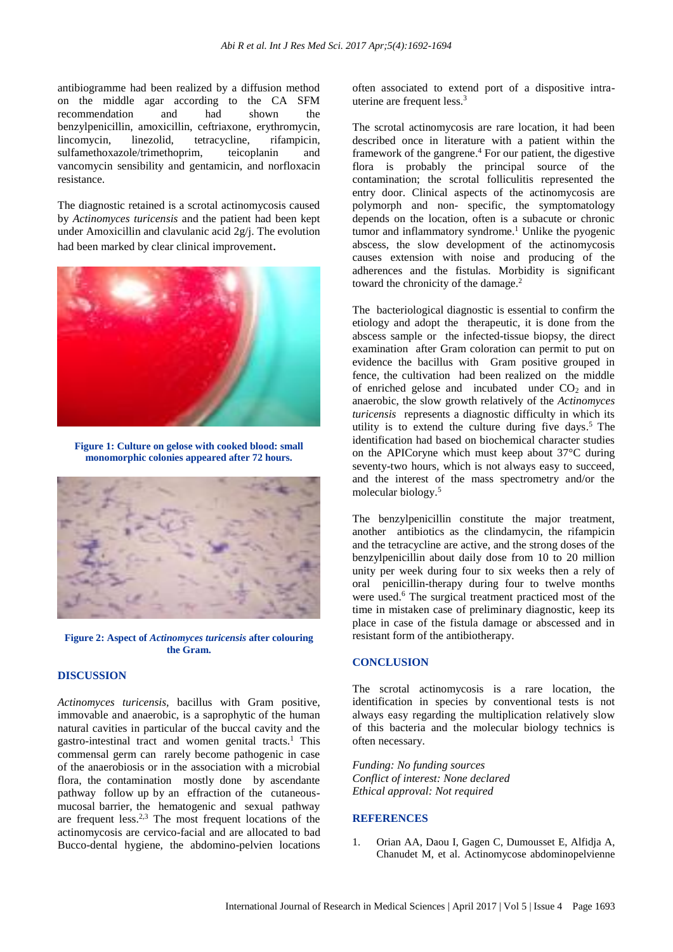antibiogramme had been realized by a diffusion method on the middle agar according to the CA SFM recommendation and had shown the benzylpenicillin, amoxicillin, ceftriaxone, erythromycin, lincomycin, linezolid, tetracycline, rifampicin, sulfamethoxazole/trimethoprim, teicoplanin and vancomycin sensibility and gentamicin, and norfloxacin resistance.

The diagnostic retained is a scrotal actinomycosis caused by *Actinomyces turicensis* and the patient had been kept under Amoxicillin and clavulanic acid  $2g/i$ . The evolution had been marked by clear clinical improvement.



**Figure 1: Culture on gelose with cooked blood: small monomorphic colonies appeared after 72 hours.**



**Figure 2: Aspect of** *Actinomyces turicensis* **after colouring the Gram.**

### **DISCUSSION**

*Actinomyces turicensis,* [bacillus](http://www.interglot.com/dictionary/en/fr/translate/bacillus?l=fr%7Cen) with Gram positive, immovable and anaerobic, is a saprophytic of the human natural cavities in particular of the buccal cavity and the gastro-intestinal tract and women genital tracts. <sup>1</sup> This commensal germ can rarely become pathogenic in case of the anaerobiosis or in the association with a microbial flora, the contamination mostly done by ascendante pathway follow up by an effraction of the cutaneousmucosal barrier, the hematogenic and sexual pathway are frequent less.<sup>2,3</sup> The most frequent locations of the actinomycosis are cervico-facial and are allocated to bad Bucco-dental hygiene, the abdomino-pelvien locations often associated to extend port of a dispositive intrauterine are frequent less. 3

The scrotal actinomycosis are rare location, it had been described once in literature with a patient within the framework of the gangrene. <sup>4</sup> For our patient, the digestive flora is probably the principal source of the contamination; the scrotal folliculitis represented the entry door. Clinical aspects of the actinomycosis are polymorph and non- specific, the symptomatology depends on the location, often is a subacute or chronic tumor and inflammatory syndrome. <sup>1</sup> Unlike the pyogenic abscess, the slow development of the actinomycosis causes extension with noise and producing of the adherences and the fistulas. Morbidity is significant toward the chronicity of the damage. 2

The bacteriological diagnostic is essential to confirm the etiology and adopt the therapeutic, it is done from the abscess sample or the infected-tissue biopsy, the direct examination after Gram coloration can permit to put on evidence the bacillus with Gram positive grouped in fence, the cultivation had been realized on the middle of enriched gelose and incubated under  $CO<sub>2</sub>$  and in anaerobic, the slow growth relatively of the *Actinomyces turicensis* represents a diagnostic difficulty in which its utility is to extend the culture during five days.<sup>5</sup> The identification had based on biochemical character studies on the APICoryne which must keep about 37°C during seventy-two hours, which is not always easy to succeed, and the interest of the mass spectrometry and/or the molecular biology.<sup>5</sup>

The benzylpenicillin constitute the major treatment, another antibiotics as the clindamycin, the rifampicin and the tetracycline are active, and the strong doses of the benzylpenicillin about daily dose from 10 to 20 million unity per week during four to six weeks then a rely of oral penicillin-therapy during four to twelve months were used.<sup>6</sup> The surgical treatment practiced most of the time in mistaken case of preliminary diagnostic, keep its place in case of the fistula damage or abscessed and in resistant form of the antibiotherapy.

#### **CONCLUSION**

The scrotal actinomycosis is a rare location, the identification in species by conventional tests is not always easy regarding the multiplication relatively slow of this bacteria and the molecular biology technics is often necessary.

*Funding: No funding sources Conflict of interest: None declared Ethical approval: Not required*

#### **REFERENCES**

1. Orian AA, Daou I, Gagen C, Dumousset E, Alfidja A, Chanudet M, et al. Actinomycose abdominopelvienne